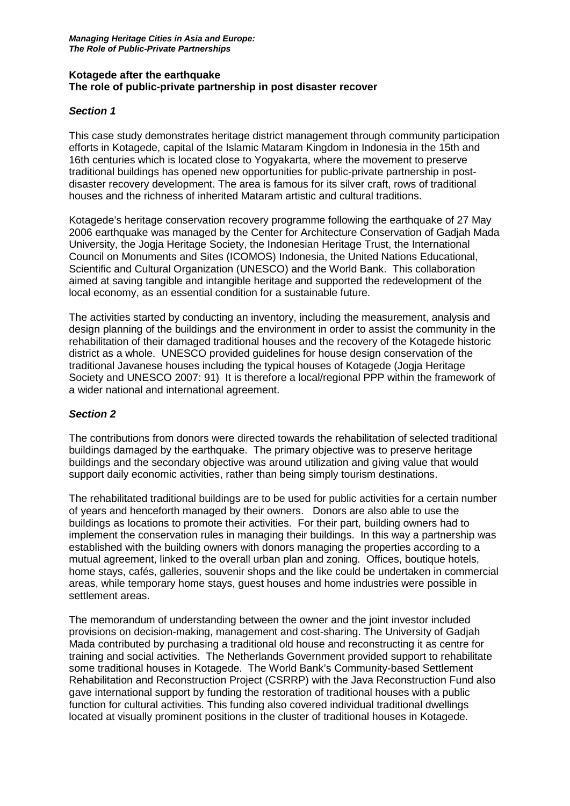#### **Kotagede after the earthquake The role of public-private partnership in post disaster recover**

## *Section 1*

This case study demonstrates heritage district management through community participation efforts in Kotagede, capital of the Islamic Mataram Kingdom in Indonesia in the 15th and 16th centuries which is located close to Yogyakarta, where the movement to preserve traditional buildings has opened new opportunities for public-private partnership in postdisaster recovery development. The area is famous for its silver craft, rows of traditional houses and the richness of inherited Mataram artistic and cultural traditions.

Kotagede's heritage conservation recovery programme following the earthquake of 27 May 2006 earthquake was managed by the Center for Architecture Conservation of Gadjah Mada University, the Jogja Heritage Society, the Indonesian Heritage Trust, the International Council on Monuments and Sites (ICOMOS) Indonesia, the United Nations Educational, Scientific and Cultural Organization (UNESCO) and the World Bank. This collaboration aimed at saving tangible and intangible heritage and supported the redevelopment of the local economy, as an essential condition for a sustainable future.

The activities started by conducting an inventory, including the measurement, analysis and design planning of the buildings and the environment in order to assist the community in the rehabilitation of their damaged traditional houses and the recovery of the Kotagede historic district as a whole. UNESCO provided guidelines for house design conservation of the traditional Javanese houses including the typical houses of Kotagede (Jogja Heritage Society and UNESCO 2007: 91) It is therefore a local/regional PPP within the framework of a wider national and international agreement.

# *Section 2*

The contributions from donors were directed towards the rehabilitation of selected traditional buildings damaged by the earthquake. The primary objective was to preserve heritage buildings and the secondary objective was around utilization and giving value that would support daily economic activities, rather than being simply tourism destinations.

The rehabilitated traditional buildings are to be used for public activities for a certain number of years and henceforth managed by their owners. Donors are also able to use the buildings as locations to promote their activities. For their part, building owners had to implement the conservation rules in managing their buildings. In this way a partnership was established with the building owners with donors managing the properties according to a mutual agreement, linked to the overall urban plan and zoning. Offices, boutique hotels, home stays, cafés, galleries, souvenir shops and the like could be undertaken in commercial areas, while temporary home stays, guest houses and home industries were possible in settlement areas.

The memorandum of understanding between the owner and the joint investor included provisions on decision-making, management and cost-sharing. The University of Gadjah Mada contributed by purchasing a traditional old house and reconstructing it as centre for training and social activities. The Netherlands Government provided support to rehabilitate some traditional houses in Kotagede. The World Bank's Community-based Settlement Rehabilitation and Reconstruction Project (CSRRP) with the Java Reconstruction Fund also gave international support by funding the restoration of traditional houses with a public function for cultural activities. This funding also covered individual traditional dwellings located at visually prominent positions in the cluster of traditional houses in Kotagede.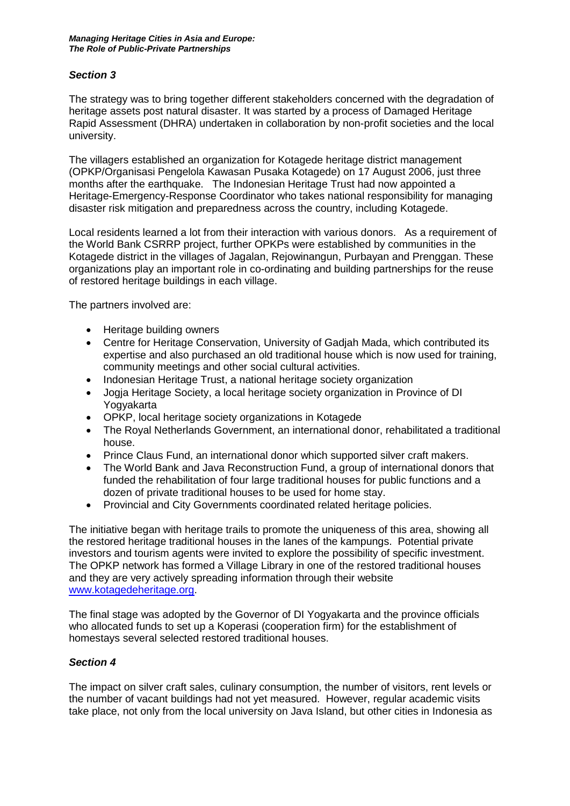## *Section 3*

The strategy was to bring together different stakeholders concerned with the degradation of heritage assets post natural disaster. It was started by a process of Damaged Heritage Rapid Assessment (DHRA) undertaken in collaboration by non-profit societies and the local university.

The villagers established an organization for Kotagede heritage district management (OPKP/Organisasi Pengelola Kawasan Pusaka Kotagede) on 17 August 2006, just three months after the earthquake. The Indonesian Heritage Trust had now appointed a Heritage-Emergency-Response Coordinator who takes national responsibility for managing disaster risk mitigation and preparedness across the country, including Kotagede.

Local residents learned a lot from their interaction with various donors. As a requirement of the World Bank CSRRP project, further OPKPs were established by communities in the Kotagede district in the villages of Jagalan, Rejowinangun, Purbayan and Prenggan. These organizations play an important role in co-ordinating and building partnerships for the reuse of restored heritage buildings in each village.

The partners involved are:

- Heritage building owners
- Centre for Heritage Conservation, University of Gadjah Mada, which contributed its expertise and also purchased an old traditional house which is now used for training, community meetings and other social cultural activities.
- Indonesian Heritage Trust, a national heritage society organization
- Jogja Heritage Society, a local heritage society organization in Province of DI Yogyakarta
- OPKP, local heritage society organizations in Kotagede
- The Royal Netherlands Government, an international donor, rehabilitated a traditional house.
- Prince Claus Fund, an international donor which supported silver craft makers.
- The World Bank and Java Reconstruction Fund, a group of international donors that funded the rehabilitation of four large traditional houses for public functions and a dozen of private traditional houses to be used for home stay.
- Provincial and City Governments coordinated related heritage policies.

The initiative began with heritage trails to promote the uniqueness of this area, showing all the restored heritage traditional houses in the lanes of the kampungs. Potential private investors and tourism agents were invited to explore the possibility of specific investment. The OPKP network has formed a Village Library in one of the restored traditional houses and they are very actively spreading information through their website [www.kotagedeheritage.org.](http://www.kotagedeheritage.org/)

The final stage was adopted by the Governor of DI Yogyakarta and the province officials who allocated funds to set up a Koperasi (cooperation firm) for the establishment of homestays several selected restored traditional houses.

#### *Section 4*

The impact on silver craft sales, culinary consumption, the number of visitors, rent levels or the number of vacant buildings had not yet measured. However, regular academic visits take place, not only from the local university on Java Island, but other cities in Indonesia as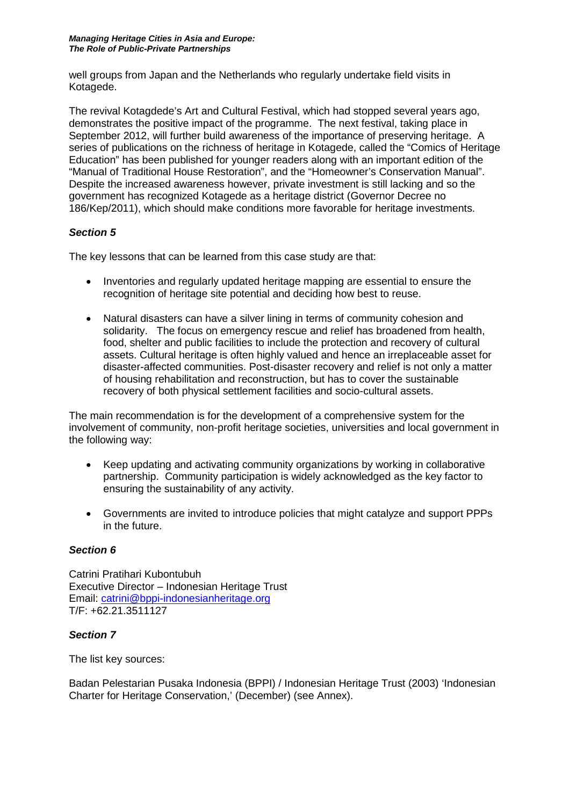well groups from Japan and the Netherlands who regularly undertake field visits in Kotagede.

The revival Kotagdede's Art and Cultural Festival, which had stopped several years ago, demonstrates the positive impact of the programme. The next festival, taking place in September 2012, will further build awareness of the importance of preserving heritage. A series of publications on the richness of heritage in Kotagede, called the "Comics of Heritage Education" has been published for younger readers along with an important edition of the "Manual of Traditional House Restoration", and the "Homeowner's Conservation Manual". Despite the increased awareness however, private investment is still lacking and so the government has recognized Kotagede as a heritage district (Governor Decree no 186/Kep/2011), which should make conditions more favorable for heritage investments.

# *Section 5*

The key lessons that can be learned from this case study are that:

- Inventories and regularly updated heritage mapping are essential to ensure the recognition of heritage site potential and deciding how best to reuse.
- Natural disasters can have a silver lining in terms of community cohesion and solidarity. The focus on emergency rescue and relief has broadened from health, food, shelter and public facilities to include the protection and recovery of cultural assets. Cultural heritage is often highly valued and hence an irreplaceable asset for disaster-affected communities. Post-disaster recovery and relief is not only a matter of housing rehabilitation and reconstruction, but has to cover the sustainable recovery of both physical settlement facilities and socio-cultural assets.

The main recommendation is for the development of a comprehensive system for the involvement of community, non-profit heritage societies, universities and local government in the following way:

- Keep updating and activating community organizations by working in collaborative partnership. Community participation is widely acknowledged as the key factor to ensuring the sustainability of any activity.
- Governments are invited to introduce policies that might catalyze and support PPPs in the future.

# *Section 6*

Catrini Pratihari Kubontubuh Executive Director – Indonesian Heritage Trust Email: [catrini@bppi-indonesianheritage.org](mailto:catrini@bppi-indonesianheritage.org) T/F: +62.21.3511127

# *Section 7*

The list key sources:

Badan Pelestarian Pusaka Indonesia (BPPI) / Indonesian Heritage Trust (2003) 'Indonesian Charter for Heritage Conservation,' (December) (see Annex).